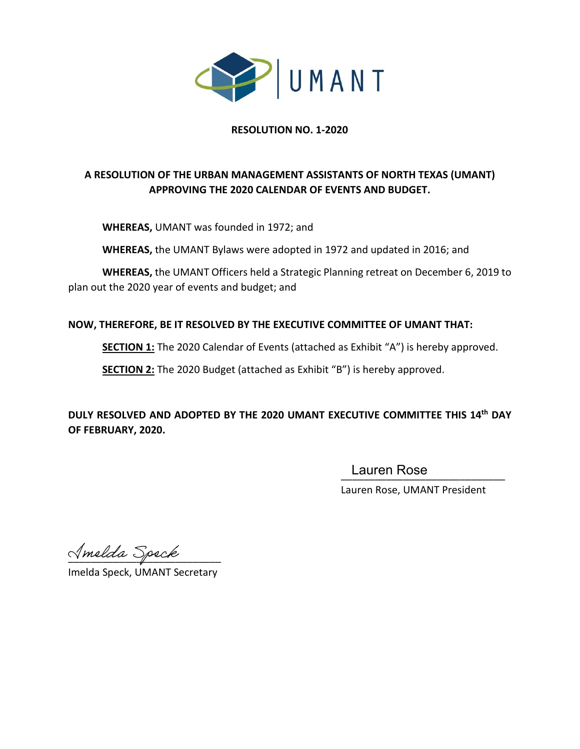

## **RESOLUTION NO. 1-2020**

## **A RESOLUTION OF THE URBAN MANAGEMENT ASSISTANTS OF NORTH TEXAS (UMANT) APPROVING THE 2020 CALENDAR OF EVENTS AND BUDGET.**

**WHEREAS,** UMANT was founded in 1972; and

**WHEREAS,** the UMANT Bylaws were adopted in 1972 and updated in 2016; and

**WHEREAS,** the UMANT Officers held a Strategic Planning retreat on December 6, 2019 to plan out the 2020 year of events and budget; and

## **NOW, THEREFORE, BE IT RESOLVED BY THE EXECUTIVE COMMITTEE OF UMANT THAT:**

**SECTION 1:** The 2020 Calendar of Events (attached as Exhibit "A") is hereby approved.

**SECTION 2:** The 2020 Budget (attached as Exhibit "B") is hereby approved.

**DULY RESOLVED AND ADOPTED BY THE 2020 UMANT EXECUTIVE COMMITTEE THIS 14th DAY OF FEBRUARY, 2020.**

\_\_\_\_\_\_\_\_\_\_\_\_\_\_\_\_\_\_\_\_\_\_\_\_\_\_\_\_\_ Lauren Rose

Lauren Rose, UMANT President

Amelda Speck

Imelda Speck, UMANT Secretary